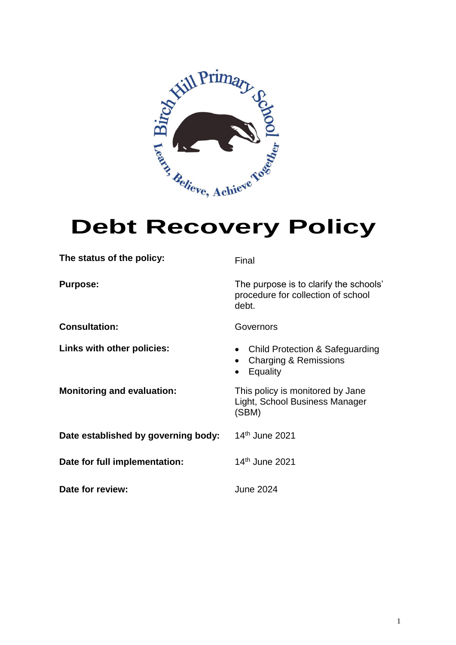

| The status of the policy:           | Final                                                                                 |
|-------------------------------------|---------------------------------------------------------------------------------------|
| <b>Purpose:</b>                     | The purpose is to clarify the schools'<br>procedure for collection of school<br>debt. |
| <b>Consultation:</b>                | Governors                                                                             |
| Links with other policies:          | • Child Protection & Safeguarding<br>Charging & Remissions<br>Equality                |
| <b>Monitoring and evaluation:</b>   | This policy is monitored by Jane<br>Light, School Business Manager<br>(SBM)           |
| Date established by governing body: | 14 <sup>th</sup> June 2021                                                            |
| Date for full implementation:       | 14 <sup>th</sup> June 2021                                                            |
| Date for review:                    | <b>June 2024</b>                                                                      |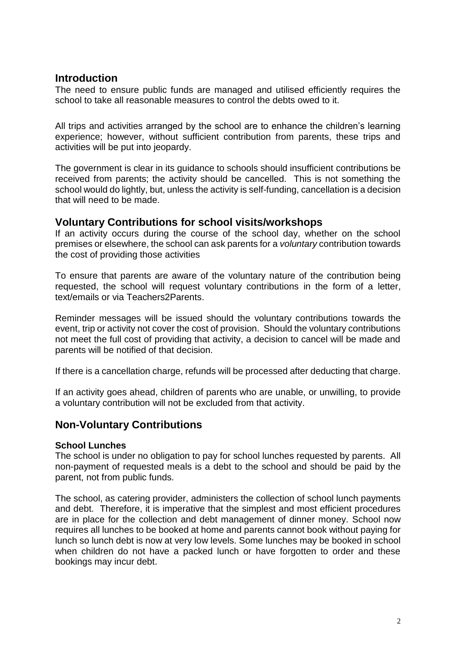## **Introduction**

The need to ensure public funds are managed and utilised efficiently requires the school to take all reasonable measures to control the debts owed to it.

All trips and activities arranged by the school are to enhance the children's learning experience; however, without sufficient contribution from parents, these trips and activities will be put into jeopardy.

The government is clear in its guidance to schools should insufficient contributions be received from parents; the activity should be cancelled. This is not something the school would do lightly, but, unless the activity is self-funding, cancellation is a decision that will need to be made.

# **Voluntary Contributions for school visits/workshops**

If an activity occurs during the course of the school day, whether on the school premises or elsewhere, the school can ask parents for a *voluntary* contribution towards the cost of providing those activities

To ensure that parents are aware of the voluntary nature of the contribution being requested, the school will request voluntary contributions in the form of a letter, text/emails or via Teachers2Parents.

Reminder messages will be issued should the voluntary contributions towards the event, trip or activity not cover the cost of provision. Should the voluntary contributions not meet the full cost of providing that activity, a decision to cancel will be made and parents will be notified of that decision.

If there is a cancellation charge, refunds will be processed after deducting that charge.

If an activity goes ahead, children of parents who are unable, or unwilling, to provide a voluntary contribution will not be excluded from that activity.

# **Non-Voluntary Contributions**

#### **School Lunches**

The school is under no obligation to pay for school lunches requested by parents. All non-payment of requested meals is a debt to the school and should be paid by the parent, not from public funds.

The school, as catering provider, administers the collection of school lunch payments and debt. Therefore, it is imperative that the simplest and most efficient procedures are in place for the collection and debt management of dinner money. School now requires all lunches to be booked at home and parents cannot book without paying for lunch so lunch debt is now at very low levels. Some lunches may be booked in school when children do not have a packed lunch or have forgotten to order and these bookings may incur debt.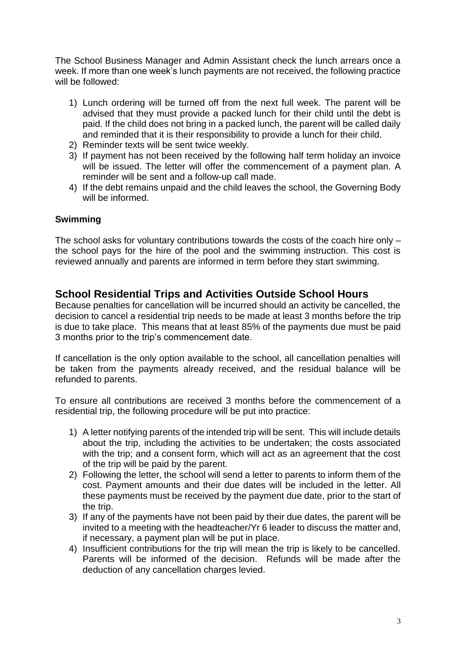The School Business Manager and Admin Assistant check the lunch arrears once a week. If more than one week's lunch payments are not received, the following practice will be followed:

- 1) Lunch ordering will be turned off from the next full week. The parent will be advised that they must provide a packed lunch for their child until the debt is paid. If the child does not bring in a packed lunch, the parent will be called daily and reminded that it is their responsibility to provide a lunch for their child.
- 2) Reminder texts will be sent twice weekly.
- 3) If payment has not been received by the following half term holiday an invoice will be issued. The letter will offer the commencement of a payment plan. A reminder will be sent and a follow-up call made.
- 4) If the debt remains unpaid and the child leaves the school, the Governing Body will be informed.

#### **Swimming**

The school asks for voluntary contributions towards the costs of the coach hire only – the school pays for the hire of the pool and the swimming instruction. This cost is reviewed annually and parents are informed in term before they start swimming.

# **School Residential Trips and Activities Outside School Hours**

Because penalties for cancellation will be incurred should an activity be cancelled, the decision to cancel a residential trip needs to be made at least 3 months before the trip is due to take place. This means that at least 85% of the payments due must be paid 3 months prior to the trip's commencement date.

If cancellation is the only option available to the school, all cancellation penalties will be taken from the payments already received, and the residual balance will be refunded to parents.

To ensure all contributions are received 3 months before the commencement of a residential trip, the following procedure will be put into practice:

- 1) A letter notifying parents of the intended trip will be sent. This will include details about the trip, including the activities to be undertaken; the costs associated with the trip; and a consent form, which will act as an agreement that the cost of the trip will be paid by the parent.
- 2) Following the letter, the school will send a letter to parents to inform them of the cost. Payment amounts and their due dates will be included in the letter. All these payments must be received by the payment due date, prior to the start of the trip.
- 3) If any of the payments have not been paid by their due dates, the parent will be invited to a meeting with the headteacher/Yr 6 leader to discuss the matter and, if necessary, a payment plan will be put in place.
- 4) Insufficient contributions for the trip will mean the trip is likely to be cancelled. Parents will be informed of the decision. Refunds will be made after the deduction of any cancellation charges levied.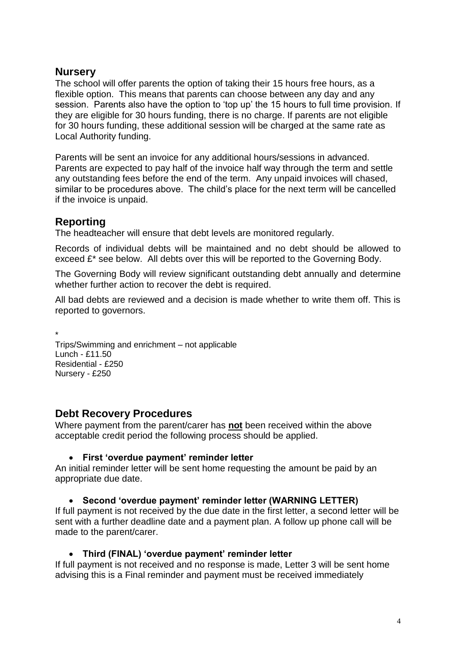# **Nursery**

The school will offer parents the option of taking their 15 hours free hours, as a flexible option. This means that parents can choose between any day and any session. Parents also have the option to 'top up' the 15 hours to full time provision. If they are eligible for 30 hours funding, there is no charge. If parents are not eligible for 30 hours funding, these additional session will be charged at the same rate as Local Authority funding.

Parents will be sent an invoice for any additional hours/sessions in advanced. Parents are expected to pay half of the invoice half way through the term and settle any outstanding fees before the end of the term. Any unpaid invoices will chased, similar to be procedures above. The child's place for the next term will be cancelled if the invoice is unpaid.

# **Reporting**

The headteacher will ensure that debt levels are monitored regularly.

Records of individual debts will be maintained and no debt should be allowed to exceed £\* see below. All debts over this will be reported to the Governing Body.

The Governing Body will review significant outstanding debt annually and determine whether further action to recover the debt is required.

All bad debts are reviewed and a decision is made whether to write them off. This is reported to governors.

\* Trips/Swimming and enrichment – not applicable Lunch - £11.50 Residential - £250 Nursery - £250

# **Debt Recovery Procedures**

Where payment from the parent/carer has **not** been received within the above acceptable credit period the following process should be applied.

### **First 'overdue payment' reminder letter**

An initial reminder letter will be sent home requesting the amount be paid by an appropriate due date.

### **Second 'overdue payment' reminder letter (WARNING LETTER)**

If full payment is not received by the due date in the first letter, a second letter will be sent with a further deadline date and a payment plan. A follow up phone call will be made to the parent/carer.

### **Third (FINAL) 'overdue payment' reminder letter**

If full payment is not received and no response is made, Letter 3 will be sent home advising this is a Final reminder and payment must be received immediately